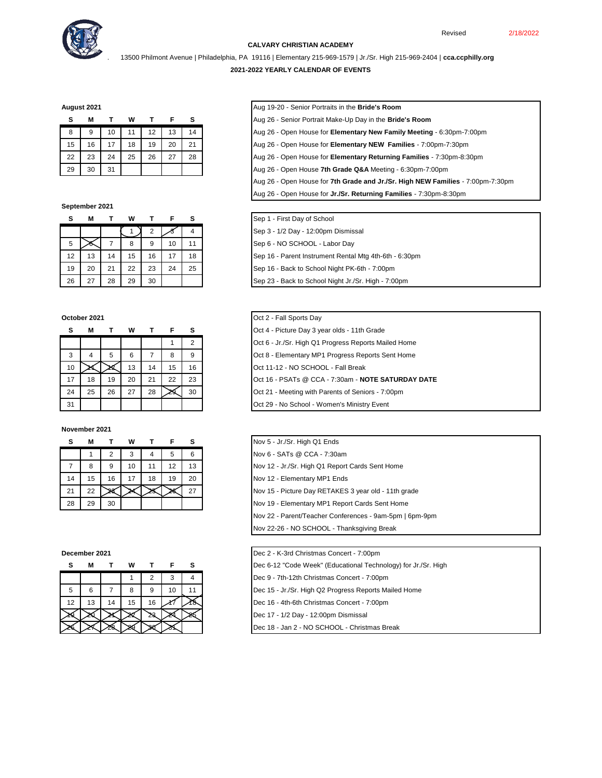

## **CALVARY CHRISTIAN ACADEMY**

. 13500 Philmont Avenue | Philadelphia, PA 19116 | Elementary 215-969-1579 | Jr./Sr. High 215-969-2404 | **cca.ccphilly.org**

### **2021-2022 YEARLY CALENDAR OF EVENTS**

**August 2021** Aug 19-20 - Senior Portraits in the **Bride's Room**

| s  | М  |    | w  |    |    | s  |
|----|----|----|----|----|----|----|
| 8  | 9  | 10 | 11 | 12 | 13 | 14 |
| 15 | 16 | 17 | 18 | 19 | 20 | 21 |
| 22 | 23 | 24 | 25 | 26 | 27 | 28 |
| 29 | 30 | 31 |    |    |    |    |

### **September 2021**

| s  | М  |    | W  |    | F  | s  |
|----|----|----|----|----|----|----|
|    |    |    |    | 2  |    |    |
| 5  |    |    | 8  | 9  | 10 | 11 |
| 12 | 13 | 14 | 15 | 16 | 17 | 18 |
| 19 | 20 | 21 | 22 | 23 | 24 | 25 |
| 26 | 27 | 28 | 29 | 30 |    |    |

| s  | М  |    | W  |    | F  | s              |
|----|----|----|----|----|----|----------------|
|    |    |    |    |    |    | $\overline{2}$ |
| 3  |    | 5  | 6  | 7  | 8  | 9              |
| 10 |    |    | 13 | 14 | 15 | 16             |
| 17 | 18 | 19 | 20 | 21 | 22 | 23             |
| 24 | 25 | 26 | 27 | 28 |    | 30             |
| 31 |    |    |    |    |    |                |

### **November 2021**

| s  | м  |    | w  |    |    | s  |
|----|----|----|----|----|----|----|
|    |    |    | 3  | 4  | 5  | 6  |
|    | 8  | 9  | 10 | 11 | 12 | 13 |
| 14 | 15 | 16 | 17 | 18 | 19 | 20 |
| 21 | 22 |    |    |    |    | 27 |
| 28 | 29 | 30 |    |    |    |    |

|    | М  |    | W  |     | F  | s |
|----|----|----|----|-----|----|---|
|    |    |    |    | 2   | 3  |   |
| 5  | 6  |    | 8  | 9   | 10 |   |
| 12 | 13 | 14 | 15 | 16  |    |   |
|    |    |    |    | - 2 |    |   |
|    |    |    |    |     |    |   |

| Aug 19-20 - Senior Portraits in the Bride's Room |  |  |
|--------------------------------------------------|--|--|
|--------------------------------------------------|--|--|

- **S M T W T F S** Aug 26 Senior Portrait Make-Up Day in the **Bride's Room**
- 8 9 10 11 12 13 14 Aug 26 Open House for **Elementary New Family Meeting** 6:30pm-7:00pm
- 15 16 17 18 19 20 21 Aug 26 Open House for **Elementary NEW Families**  7:00pm-7:30pm
- 22 23 24 25 26 27 28 Aug 26 Open House for **Elementary Returning Families**  7:30pm-8:30pm
- 29 30 31 Aug 26 Open House **7th Grade Q&A** Meeting 6:30pm-7:00pm
- Aug 26 Open House for **7th Grade and Jr./Sr. High NEW Families**  7:00pm-7:30pm
- Aug 26 Open House for **Jr./Sr. Returning Families** 7:30pm-8:30pm

## **S M T W T F S** Sep 1 - First Day of School

- Sep 3 1/2 Day 12:00pm Dismissal
- Sep 6 NO SCHOOL Labor Day
- Sep 16 Parent Instrument Rental Mtg 4th-6th 6:30pm
- Sep 16 Back to School Night PK-6th 7:00pm
- Sep 23 Back to School Night Jr./Sr. High 7:00pm
- **October 2021 October 2021 October 2021** 
	- **S M T W T F S** Oct 4 Picture Day 3 year olds 11th Grade
	- Oct 6 Jr./Sr. High Q1 Progress Reports Mailed Home
	- Oct 8 Elementary MP1 Progress Reports Sent Home
	- Oct 11-12 NO SCHOOL Fall Break
	- Oct 16 PSATs @ CCA 7:30am **NOTE SATURDAY DATE**
	- Oct 21 Meeting with Parents of Seniors 7:00pm
	- Oct 29 No School Women's Ministry Event

| s              | М  |    | w  |    |    | s  |
|----------------|----|----|----|----|----|----|
|                |    |    |    |    | 5  | 6  |
| $\overline{7}$ | 8  | 9  | 10 | 11 | 12 | 13 |
| 14             | 15 | 16 | 17 | 18 | 19 | 20 |
| 21             | 22 |    |    |    |    | 27 |
| 28             | 29 | 30 |    |    |    |    |
|                |    |    |    |    |    |    |
|                |    |    |    |    |    |    |
|                |    |    |    |    |    |    |

**December 2021** Dec 2 - K-3rd Christmas Concert - 7:00pm

- **Dec 6-12 "Code Week" (Educational Technology) for Jr./Sr. High**
- Dec 9 7th-12th Christmas Concert 7:00pm
- Dec 15 Jr./Sr. High Q2 Progress Reports Mailed Home
- Dec 16 4th-6th Christmas Concert 7:00pm
- Dec 17 1/2 Day 12:00pm Dismissal
- Dec 18 Jan 2 NO SCHOOL Christmas Break